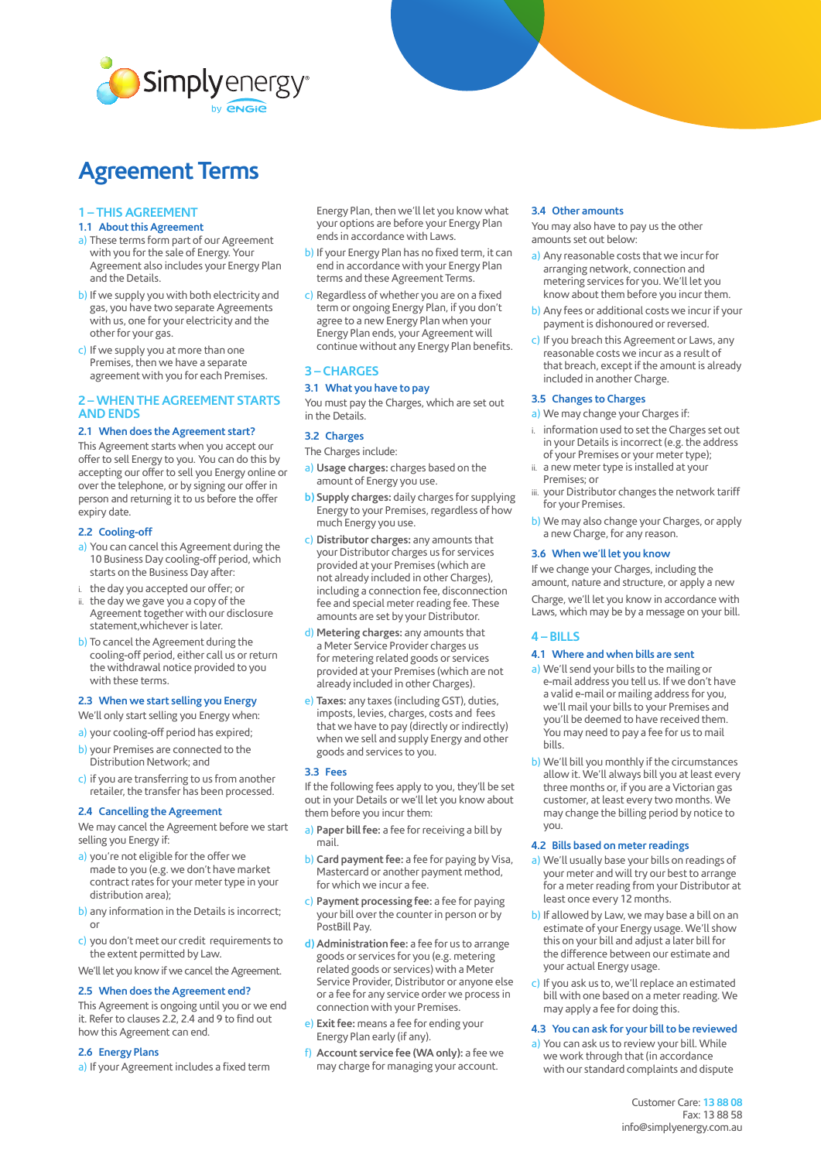

# **Agreement Terms**

# **1 – THIS AGREEMENT**

- **1.1 About this Agreement**
- a) These terms form part of our Agreement with you for the sale of Energy. Your Agreement also includes your Energy Plan and the Details.
- b) If we supply you with both electricity and gas, you have two separate Agreements with us, one for your electricity and the other for your gas.
- c) If we supply you at more than one Premises, then we have a separate agreement with you for each Premises.

# **2 – WHEN THE AGREEMENT STARTS AND ENDS**

## **2.1 When does the Agreement start?**

This Agreement starts when you accept our offer to sell Energy to you. You can do this by accepting our offer to sell you Energy online or over the telephone, or by signing our offer in person and returning it to us before the offer expiry date.

#### **2.2 Cooling-off**

- a) You can cancel this Agreement during the 10 Business Day cooling-off period, which starts on the Business Day after:
- i. the day you accepted our offer; or
- ii. the day we gave you a copy of the Agreement together with our disclosure statement,whichever is later.
- b) To cancel the Agreement during the cooling-off period, either call us or return the withdrawal notice provided to you with these terms.

# **2.3 When we start selling you Energy**

- We'll only start selling you Energy when:
- a) your cooling-off period has expired;
- b) your Premises are connected to the Distribution Network; and
- c) if you are transferring to us from another retailer, the transfer has been processed.

## **2.4 Cancelling the Agreement**

We may cancel the Agreement before we start selling you Energy if:

- a) you're not eligible for the offer we made to you (e.g. we don't have market contract rates for your meter type in your distribution area);
- b) any information in the Details is incorrect; or
- c) you don't meet our credit requirements to the extent permitted by Law.
- We'll let you know if we cancel the Agreement.

#### **2.5 When does the Agreement end?**

This Agreement is ongoing until you or we end it. Refer to clauses 2.2, 2.4 and 9 to find out how this Agreement can end.

#### **2.6 Energy Plans**

a) If your Agreement includes a fixed term

Energy Plan, then we'll let you know what your options are before your Energy Plan ends in accordance with Laws.

- b) If your Energy Plan has no fixed term, it can end in accordance with your Energy Plan terms and these Agreement Terms.
- c) Regardless of whether you are on a fixed term or ongoing Energy Plan, if you don't agree to a new Energy Plan when your Energy Plan ends, your Agreement will continue without any Energy Plan benefits.

## **3 – CHARGES**

# **3.1 What you have to pay**

You must pay the Charges, which are set out in the Details.

#### **3.2 Charges**

- The Charges include:
- a) **Usage charges:** charges based on the amount of Energy you use.
- **b) Supply charges:** daily charges for supplying Energy to your Premises, regardless of how much Energy you use.
- c) **Distributor charges:** any amounts that your Distributor charges us for services provided at your Premises (which are not already included in other Charges), including a connection fee, disconnection fee and special meter reading fee. These amounts are set by your Distributor.
- d) **Metering charges:** any amounts that a Meter Service Provider charges us for metering related goods or services provided at your Premises (which are not already included in other Charges).
- e) **Taxes:** any taxes (including GST), duties, imposts, levies, charges, costs and fees that we have to pay (directly or indirectly) when we sell and supply Energy and other goods and services to you.

#### **3.3 Fees**

If the following fees apply to you, they'll be set out in your Details or we'll let you know about them before you incur them:

- a) **Paper bill fee:** a fee for receiving a bill by mail.
- b) **Card payment fee:** a fee for paying by Visa, Mastercard or another payment method, for which we incur a fee.
- c) **Payment processing fee:** a fee for paying your bill over the counter in person or by PostBill Pay.
- **d) Administration fee:** a fee for us to arrange goods or services for you (e.g. metering related goods or services) with a Meter Service Provider, Distributor or anyone else or a fee for any service order we process in connection with your Premises.
- e) **Exit fee:** means a fee for ending your Energy Plan early (if any).
- f) **Account service fee (WA only):** a fee we may charge for managing your account.

#### **3.4 Other amounts**

You may also have to pay us the other amounts set out below:

- a) Any reasonable costs that we incur for arranging network, connection and metering services for you. We'll let you know about them before you incur them.
- b) Any fees or additional costs we incur if your payment is dishonoured or reversed.
- c) If you breach this Agreement or Laws, any reasonable costs we incur as a result of that breach, except if the amount is already included in another Charge.

# **3.5 Changes to Charges**

- a) We may change your Charges if:
- i. information used to set the Charges set out in your Details is incorrect (e.g. the address of your Premises or your meter type);
- ii. a new meter type is installed at your Premises; or
- iii. your Distributor changes the network tariff for your Premises.
- b) We may also change your Charges, or apply a new Charge, for any reason.

# **3.6 When we'll let you know**

If we change your Charges, including the amount, nature and structure, or apply a new Charge, we'll let you know in accordance with Laws, which may be by a message on your bill.

# **4 – BILLS**

# **4.1 Where and when bills are sent**

- a) We'll send your bills to the mailing or e-mail address you tell us. If we don't have a valid e-mail or mailing address for you, we'll mail your bills to your Premises and you'll be deemed to have received them. You may need to pay a fee for us to mail bills.
- b) We'll bill you monthly if the circumstances allow it. We'll always bill you at least every three months or, if you are a Victorian gas customer, at least every two months. We may change the billing period by notice to you.

#### **4.2 Bills based on meter readings**

- a) We'll usually base your bills on readings of your meter and will try our best to arrange for a meter reading from your Distributor at least once every 12 months.
- b) If allowed by Law, we may base a bill on an estimate of your Energy usage. We'll show this on your bill and adjust a later bill for the difference between our estimate and your actual Energy usage.
- c) If you ask us to, we'll replace an estimated bill with one based on a meter reading. We may apply a fee for doing this.

#### **4.3 You can ask for your bill to be reviewed**

a) You can ask us to review your bill. While we work through that (in accordance with our standard complaints and dispute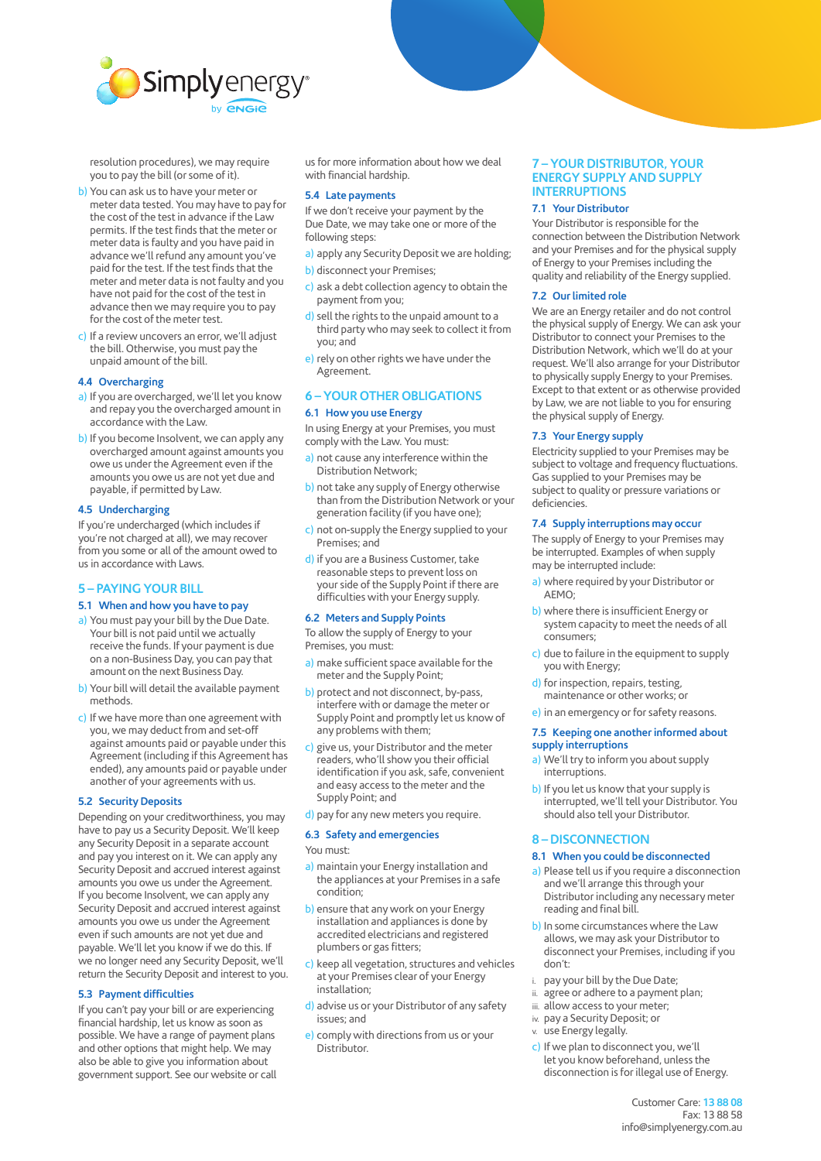

resolution procedures), we may require you to pay the bill (or some of it).

- b) You can ask us to have your meter or meter data tested. You may have to pay for the cost of the test in advance if the Law permits. If the test finds that the meter or meter data is faulty and you have paid in advance we'll refund any amount you've paid for the test. If the test finds that the meter and meter data is not faulty and you have not paid for the cost of the test in advance then we may require you to pay for the cost of the meter test.
- c) If a review uncovers an error, we'll adjust the bill. Otherwise, you must pay the unpaid amount of the bill.

#### **4.4 Overcharging**

- a) If you are overcharged, we'll let you know and repay you the overcharged amount in accordance with the Law.
- b) If you become Insolvent, we can apply any overcharged amount against amounts you owe us under the Agreement even if the amounts you owe us are not yet due and payable, if permitted by Law.

## **4.5 Undercharging**

If you're undercharged (which includes if you're not charged at all), we may recover from you some or all of the amount owed to us in accordance with Laws.

# **5 – PAYING YOUR BILL**

#### **5.1 When and how you have to pay**

- a) You must pay your bill by the Due Date. Your bill is not paid until we actually receive the funds. If your payment is due on a non-Business Day, you can pay that amount on the next Business Day.
- b) Your bill will detail the available payment methods.
- c) If we have more than one agreement with you, we may deduct from and set-off against amounts paid or payable under this Agreement (including if this Agreement has ended), any amounts paid or payable under another of your agreements with us.

#### **5.2 Security Deposits**

Depending on your creditworthiness, you may have to pay us a Security Deposit. We'll keep any Security Deposit in a separate account and pay you interest on it. We can apply any Security Deposit and accrued interest against amounts you owe us under the Agreement. If you become Insolvent, we can apply any Security Deposit and accrued interest against amounts you owe us under the Agreement even if such amounts are not yet due and payable. We'll let you know if we do this. If we no longer need any Security Deposit, we'll return the Security Deposit and interest to you.

#### **5.3 Payment difficulties**

If you can't pay your bill or are experiencing financial hardship, let us know as soon as possible. We have a range of payment plans and other options that might help. We may also be able to give you information about government support. See our website or call

us for more information about how we deal with financial hardship.

#### **5.4 Late payments**

If we don't receive your payment by the Due Date, we may take one or more of the following steps:

- a) apply any Security Deposit we are holding;
- b) disconnect your Premises;
- c) ask a debt collection agency to obtain the payment from you;
- d) sell the rights to the unpaid amount to a third party who may seek to collect it from you; and
- e) rely on other rights we have under the Agreement.

# **6 – YOUR OTHER OBLIGATIONS 6.1 How you use Energy**

In using Energy at your Premises, you must comply with the Law. You must:

- a) not cause any interference within the Distribution Network;
- b) not take any supply of Energy otherwise than from the Distribution Network or your generation facility (if you have one);
- c) not on-supply the Energy supplied to your Premises; and
- d) if you are a Business Customer, take reasonable steps to prevent loss on your side of the Supply Point if there are difficulties with your Energy supply.

#### **6.2 Meters and Supply Points**

To allow the supply of Energy to your Premises, you must:

- a) make sufficient space available for the meter and the Supply Point;
- b) protect and not disconnect, by-pass, interfere with or damage the meter or Supply Point and promptly let us know of any problems with them;
- c) give us, your Distributor and the meter readers, who'll show you their official identification if you ask, safe, convenient and easy access to the meter and the Supply Point; and
- d) pay for any new meters you require.

## **6.3 Safety and emergencies**

You must:

- a) maintain your Energy installation and the appliances at your Premises in a safe condition;
- b) ensure that any work on your Energy installation and appliances is done by accredited electricians and registered plumbers or gas fitters;
- c) keep all vegetation, structures and vehicles at your Premises clear of your Energy installation;
- d) advise us or your Distributor of any safety issues; and
- e) comply with directions from us or your Distributor.

# **7 – YOUR DISTRIBUTOR, YOUR ENERGY SUPPLY AND SUPPLY INTERRUPTIONS**

#### **7.1 Your Distributor**

Your Distributor is responsible for the connection between the Distribution Network and your Premises and for the physical supply of Energy to your Premises including the quality and reliability of the Energy supplied.

## **7.2 Our limited role**

We are an Energy retailer and do not control the physical supply of Energy. We can ask your Distributor to connect your Premises to the Distribution Network, which we'll do at your request. We'll also arrange for your Distributor to physically supply Energy to your Premises. Except to that extent or as otherwise provided by Law, we are not liable to you for ensuring the physical supply of Energy.

#### **7.3 Your Energy supply**

Electricity supplied to your Premises may be subject to voltage and frequency fluctuations. Gas supplied to your Premises may be subject to quality or pressure variations or deficiencies.

## **7.4 Supply interruptions may occur**

The supply of Energy to your Premises may be interrupted. Examples of when supply may be interrupted include:

- a) where required by your Distributor or AEMO;
- b) where there is insufficient Energy or system capacity to meet the needs of all consumers;
- c) due to failure in the equipment to supply you with Energy;
- d) for inspection, repairs, testing, maintenance or other works; or
- e) in an emergency or for safety reasons.

## **7.5 Keeping one another informed about supply interruptions**

- a) We'll try to inform you about supply interruptions.
- b) If you let us know that your supply is interrupted, we'll tell your Distributor. You should also tell your Distributor.

#### **8 – DISCONNECTION**

#### **8.1 When you could be disconnected**

- a) Please tell us if you require a disconnection and we'll arrange this through your Distributor including any necessary meter reading and final bill.
- b) In some circumstances where the Law allows, we may ask your Distributor to disconnect your Premises, including if you don't:
- i. pay your bill by the Due Date;
- ii. agree or adhere to a payment plan;
- iii. allow access to your meter:
- iv. pay a Security Deposit; or
- v. use Energy legally.
- c) If we plan to disconnect you, we'll let you know beforehand, unless the disconnection is for illegal use of Energy.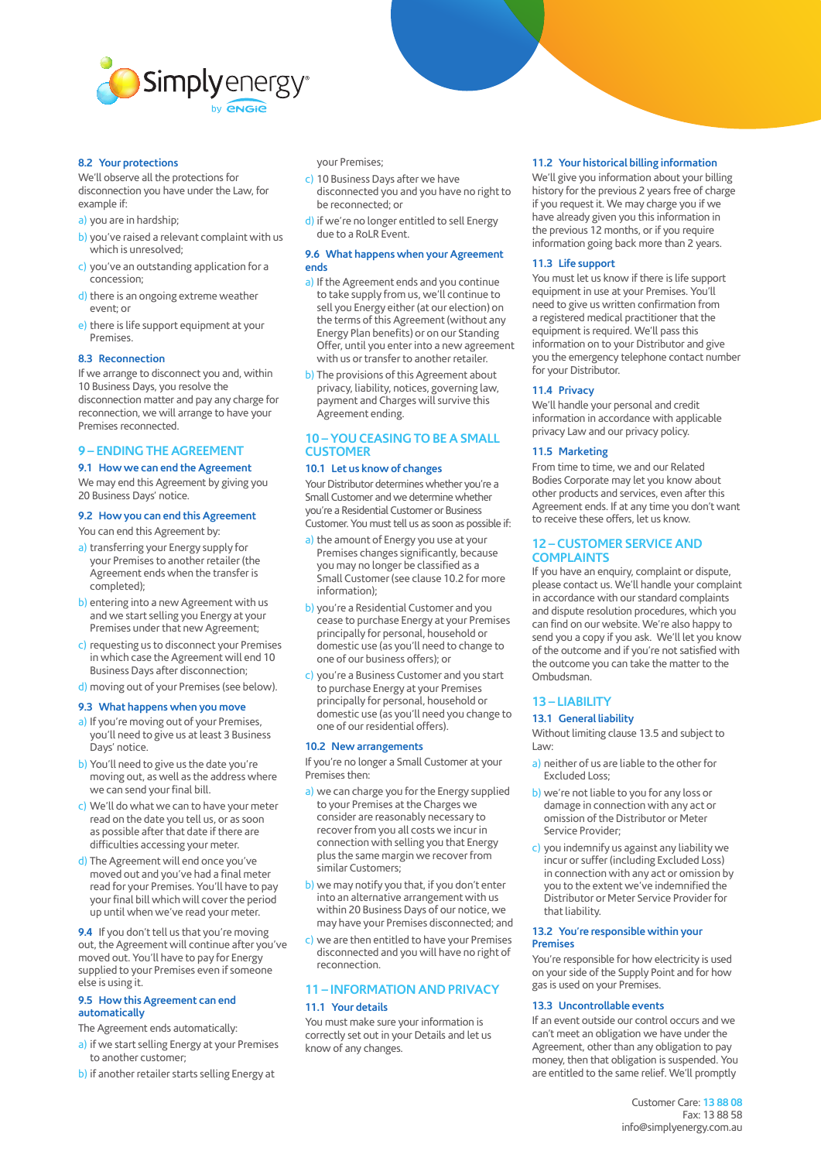

#### **8.2 Your protections**

We'll observe all the protections for disconnection you have under the Law, for example if:

- a) you are in hardship;
- b) you've raised a relevant complaint with us which is unresolved;
- c) you've an outstanding application for a concession;
- d) there is an ongoing extreme weather event; or
- e) there is life support equipment at your Premises.

#### **8.3 Reconnection**

If we arrange to disconnect you and, within 10 Business Days, you resolve the disconnection matter and pay any charge for reconnection, we will arrange to have your Premises reconnected.

# **9 – ENDING THE AGREEMENT**

#### **9.1 How we can end the Agreement**

We may end this Agreement by giving you 20 Business Days' notice.

## **9.2 How you can end this Agreement**

You can end this Agreement by:

- a) transferring your Energy supply for your Premises to another retailer (the Agreement ends when the transfer is completed);
- b) entering into a new Agreement with us and we start selling you Energy at your Premises under that new Agreement;
- c) requesting us to disconnect your Premises in which case the Agreement will end 10 Business Days after disconnection;
- d) moving out of your Premises (see below).

#### **9.3 What happens when you move**

- a) If you're moving out of your Premises, you'll need to give us at least 3 Business Days' notice.
- b) You'll need to give us the date you're moving out, as well as the address where we can send your final bill.
- c) We'll do what we can to have your meter read on the date you tell us, or as soon as possible after that date if there are difficulties accessing your meter.
- d) The Agreement will end once you've moved out and you've had a final meter read for your Premises. You'll have to pay your final bill which will cover the period up until when we've read your meter.

**9.4** If you don't tell us that you're moving out, the Agreement will continue after you've moved out. You'll have to pay for Energy supplied to your Premises even if someone else is using it.

#### **9.5 How this Agreement can end automatically**

The Agreement ends automatically:

- a) if we start selling Energy at your Premises to another customer;
- b) if another retailer starts selling Energy at

your Premises;

- c) 10 Business Days after we have disconnected you and you have no right to be reconnected; or
- d) if we're no longer entitled to sell Energy due to a RoLR Event.

#### **9.6 What happens when your Agreement ends**

- a) If the Agreement ends and you continue to take supply from us, we'll continue to sell you Energy either (at our election) on the terms of this Agreement (without any Energy Plan benefits) or on our Standing Offer, until you enter into a new agreement with us or transfer to another retailer.
- b) The provisions of this Agreement about privacy, liability, notices, governing law, payment and Charges will survive this Agreement ending.

# **10 – YOU CEASING TO BE A SMALL CUSTOMER**

## **10.1 Let us know of changes**

Your Distributor determines whether you're a Small Customer and we determine whether you're a Residential Customer or Business Customer. You must tell us as soon as possible if:

- a) the amount of Energy you use at your Premises changes significantly, because you may no longer be classified as a Small Customer (see clause 10.2 for more information);
- b) you're a Residential Customer and you cease to purchase Energy at your Premises principally for personal, household or domestic use (as you'll need to change to one of our business offers); or
- c) you're a Business Customer and you start to purchase Energy at your Premises principally for personal, household or domestic use (as you'll need you change to one of our residential offers).

# **10.2 New arrangements**

If you're no longer a Small Customer at your Premises then:

- a) we can charge you for the Energy supplied to your Premises at the Charges we consider are reasonably necessary to recover from you all costs we incur in connection with selling you that Energy plus the same margin we recover from similar Customers;
- b) we may notify you that, if you don't enter into an alternative arrangement with us within 20 Business Days of our notice, we may have your Premises disconnected; and
- c) we are then entitled to have your Premises disconnected and you will have no right of reconnection.

# **11 – INFORMATION AND PRIVACY 11.1 Your details**

You must make sure your information is correctly set out in your Details and let us know of any changes.

## **11.2 Your historical billing information**

We'll give you information about your billing history for the previous 2 years free of charge if you request it. We may charge you if we have already given you this information in the previous 12 months, or if you require information going back more than 2 years.

## **11.3 Life support**

You must let us know if there is life support equipment in use at your Premises. You'll need to give us written confirmation from a registered medical practitioner that the equipment is required. We'll pass this information on to your Distributor and give you the emergency telephone contact number for your Distributor.

## **11.4 Privacy**

We'll handle your personal and credit information in accordance with applicable privacy Law and our privacy policy.

## **11.5 Marketing**

From time to time, we and our Related Bodies Corporate may let you know about other products and services, even after this Agreement ends. If at any time you don't want to receive these offers, let us know.

## **12 – CUSTOMER SERVICE AND COMPLAINTS**

If you have an enquiry, complaint or dispute, please contact us. We'll handle your complaint in accordance with our standard complaints and dispute resolution procedures, which you can find on our website. We're also happy to send you a copy if you ask. We'll let you know of the outcome and if you're not satisfied with the outcome you can take the matter to the Ombudsman.

# **13 – LIABILITY**

#### **13.1 General liability**

Without limiting clause 13.5 and subject to Law:

- a) neither of us are liable to the other for Excluded Loss;
- b) we're not liable to you for any loss or damage in connection with any act or omission of the Distributor or Meter Service Provider;
- c) you indemnify us against any liability we incur or suffer (including Excluded Loss) in connection with any act or omission by you to the extent we've indemnified the Distributor or Meter Service Provider for that liability.

#### **13.2 You're responsible within your Premises**

You're responsible for how electricity is used on your side of the Supply Point and for how gas is used on your Premises.

## **13.3 Uncontrollable events**

If an event outside our control occurs and we can't meet an obligation we have under the Agreement, other than any obligation to pay money, then that obligation is suspended. You are entitled to the same relief. We'll promptly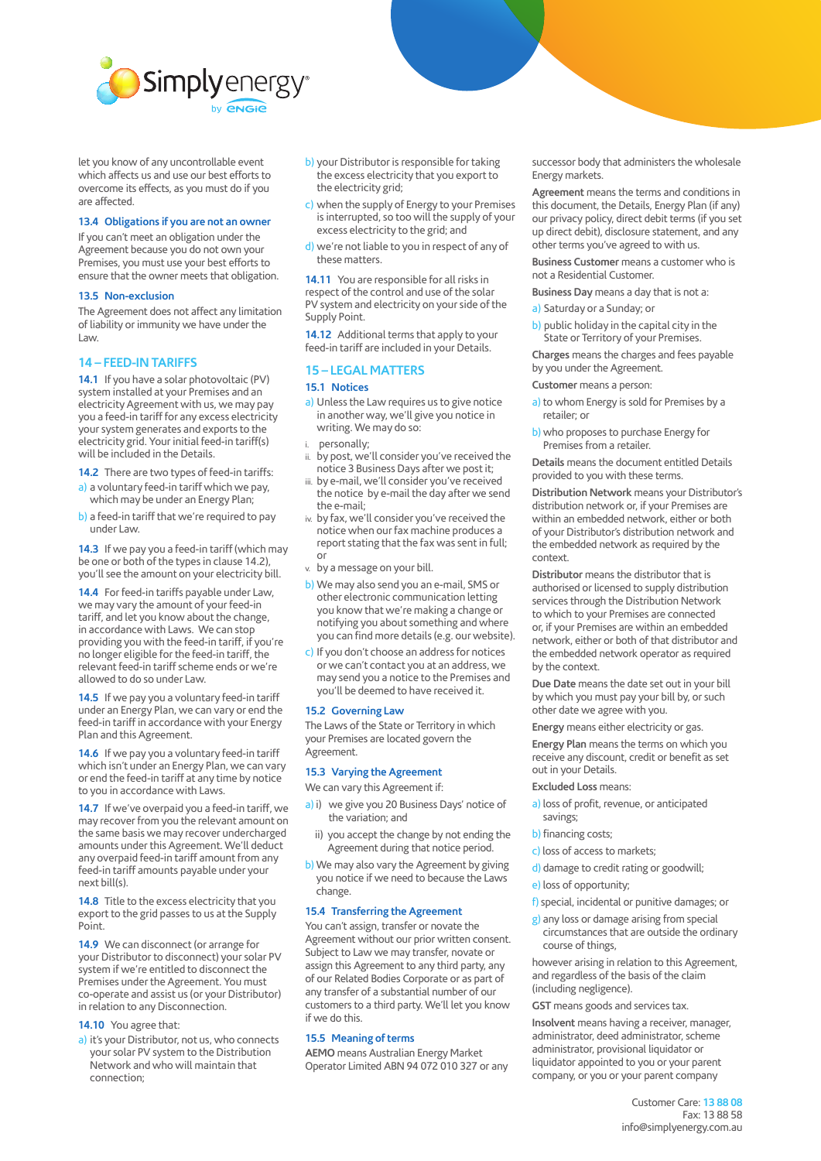

let you know of any uncontrollable event which affects us and use our best efforts to overcome its effects, as you must do if you are affected.

## **13.4 Obligations if you are not an owner**

If you can't meet an obligation under the Agreement because you do not own your Premises, you must use your best efforts to ensure that the owner meets that obligation.

#### **13.5 Non-exclusion**

The Agreement does not affect any limitation of liability or immunity we have under the Law.

## **14 – FEED-IN TARIFFS**

**14.1** If you have a solar photovoltaic (PV) system installed at your Premises and an electricity Agreement with us, we may pay you a feed-in tariff for any excess electricity your system generates and exports to the electricity grid. Your initial feed-in tariff(s) will be included in the Details.

**14.2** There are two types of feed-in tariffs: a) a voluntary feed-in tariff which we pay,

which may be under an Energy Plan;

b) a feed-in tariff that we're required to pay under Law.

**14.3** If we pay you a feed-in tariff (which may be one or both of the types in clause 14.2), you'll see the amount on your electricity bill.

**14.4** For feed-in tariffs payable under Law, we may vary the amount of your feed-in tariff, and let you know about the change, in accordance with Laws. We can stop providing you with the feed-in tariff, if you're no longer eligible for the feed-in tariff, the relevant feed-in tariff scheme ends or we're allowed to do so under Law.

**14.5** If we pay you a voluntary feed-in tariff under an Energy Plan, we can vary or end the feed-in tariff in accordance with your Energy Plan and this Agreement.

**14.6** If we pay you a voluntary feed-in tariff which isn't under an Energy Plan, we can vary or end the feed-in tariff at any time by notice to you in accordance with Laws.

**14.7** If we've overpaid you a feed-in tariff, we may recover from you the relevant amount on the same basis we may recover undercharged amounts under this Agreement. We'll deduct any overpaid feed-in tariff amount from any feed-in tariff amounts payable under your next bill(s).

**14.8** Title to the excess electricity that you export to the grid passes to us at the Supply Point.

**14.9** We can disconnect (or arrange for your Distributor to disconnect) your solar PV system if we're entitled to disconnect the Premises under the Agreement. You must co-operate and assist us (or your Distributor) in relation to any Disconnection.

## **14.10** You agree that:

a) it's your Distributor, not us, who connects your solar PV system to the Distribution Network and who will maintain that connection;

- b) your Distributor is responsible for taking the excess electricity that you export to the electricity grid;
- c) when the supply of Energy to your Premises is interrupted, so too will the supply of your excess electricity to the grid; and
- d) we're not liable to you in respect of any of these matters.

**14.11** You are responsible for all risks in respect of the control and use of the solar PV system and electricity on your side of the Supply Point.

**14.12** Additional terms that apply to your feed-in tariff are included in your Details.

## **15 – LEGAL MATTERS**

# **15.1 Notices**

- a) Unless the Law requires us to give notice in another way, we'll give you notice in writing. We may do so:
- personally;
- by post, we'll consider you've received the notice 3 Business Days after we post it;
- iii. by e-mail, we'll consider you've received the notice by e-mail the day after we send the e-mail;
- iv. by fax, we'll consider you've received the notice when our fax machine produces a report stating that the fax was sent in full; or
- v. by a message on your bill.
- b) We may also send you an e-mail, SMS or other electronic communication letting you know that we're making a change or notifying you about something and where you can find more details (e.g. our website).
- c) If you don't choose an address for notices or we can't contact you at an address, we may send you a notice to the Premises and you'll be deemed to have received it.

#### **15.2 Governing Law**

The Laws of the State or Territory in which your Premises are located govern the Agreement.

### **15.3 Varying the Agreement**

We can vary this Agreement if:

- a) i) we give you 20 Business Days' notice of the variation; and
- ii) you accept the change by not ending the Agreement during that notice period.
- b) We may also vary the Agreement by giving you notice if we need to because the Laws change.

## **15.4 Transferring the Agreement**

You can't assign, transfer or novate the Agreement without our prior written consent. Subject to Law we may transfer, novate or assign this Agreement to any third party, any of our Related Bodies Corporate or as part of any transfer of a substantial number of our customers to a third party. We'll let you know if we do this.

# **15.5 Meaning of terms**

**AEMO** means Australian Energy Market Operator Limited ABN 94 072 010 327 or any successor body that administers the wholesale Energy markets.

**Agreement** means the terms and conditions in this document, the Details, Energy Plan (if any) our privacy policy, direct debit terms (if you set up direct debit), disclosure statement, and any other terms you've agreed to with us.

**Business Customer** means a customer who is not a Residential Customer.

**Business Day** means a day that is not a:

- a) Saturday or a Sunday; or
- b) public holiday in the capital city in the State or Territory of your Premises.

**Charges** means the charges and fees payable by you under the Agreement.

**Customer** means a person:

- a) to whom Energy is sold for Premises by a retailer; or
- b) who proposes to purchase Energy for Premises from a retailer.

**Details** means the document entitled Details provided to you with these terms.

**Distribution Network** means your Distributor's distribution network or, if your Premises are within an embedded network, either or both of your Distributor's distribution network and the embedded network as required by the context.

**Distributor** means the distributor that is authorised or licensed to supply distribution services through the Distribution Network to which to your Premises are connected or, if your Premises are within an embedded network, either or both of that distributor and the embedded network operator as required by the context.

**Due Date** means the date set out in your bill by which you must pay your bill by, or such other date we agree with you.

**Energy** means either electricity or gas.

**Energy Plan** means the terms on which you receive any discount, credit or benefit as set out in your Details.

## **Excluded Loss** means:

- a) loss of profit, revenue, or anticipated savings;
- b) financing costs;
- c) loss of access to markets;
- d) damage to credit rating or goodwill;
- e) loss of opportunity;
- f) special, incidental or punitive damages; or
- g) any loss or damage arising from special circumstances that are outside the ordinary course of things,

however arising in relation to this Agreement, and regardless of the basis of the claim (including negligence).

**GST** means goods and services tax.

**Insolvent** means having a receiver, manager, administrator, deed administrator, scheme administrator, provisional liquidator or liquidator appointed to you or your parent company, or you or your parent company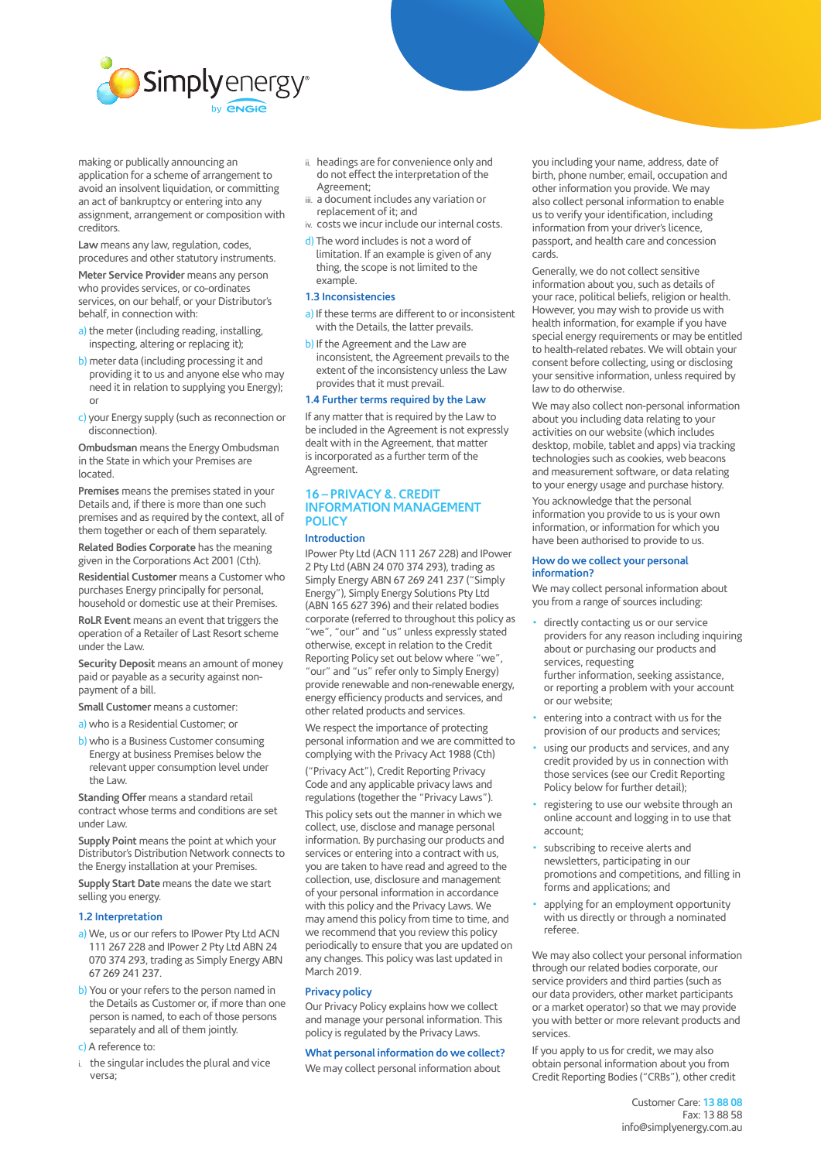

making or publically announcing an application for a scheme of arrangement to avoid an insolvent liquidation, or committing an act of bankruptcy or entering into any assignment, arrangement or composition with creditors.

**Law** means any law, regulation, codes, procedures and other statutory instruments.

**Meter Service Provider** means any person who provides services, or co-ordinates services, on our behalf, or your Distributor's behalf, in connection with:

- a) the meter (including reading, installing, inspecting, altering or replacing it);
- b) meter data (including processing it and providing it to us and anyone else who may need it in relation to supplying you Energy); or
- c) your Energy supply (such as reconnection or disconnection).

**Ombudsman** means the Energy Ombudsman in the State in which your Premises are located.

**Premises** means the premises stated in your Details and, if there is more than one such premises and as required by the context, all of them together or each of them separately.

**Related Bodies Corporate** has the meaning given in the Corporations Act 2001 (Cth).

**Residential Customer** means a Customer who purchases Energy principally for personal, household or domestic use at their Premises.

**RoLR Event** means an event that triggers the operation of a Retailer of Last Resort scheme under the Law.

**Security Deposit** means an amount of money paid or payable as a security against nonpayment of a bill.

**Small Customer** means a customer:

a) who is a Residential Customer; or

b) who is a Business Customer consuming Energy at business Premises below the relevant upper consumption level under the Law.

**Standing Offer** means a standard retail contract whose terms and conditions are set under Law.

**Supply Point** means the point at which your Distributor's Distribution Network connects to the Energy installation at your Premises.

**Supply Start Date** means the date we start selling you energy.

#### **1.2 Interpretation**

- a) We, us or our refers to IPower Pty Ltd ACN 111 267 228 and IPower 2 Pty Ltd ABN 24 070 374 293, trading as Simply Energy ABN 67 269 241 237.
- b) You or your refers to the person named in the Details as Customer or, if more than one person is named, to each of those persons separately and all of them jointly.
- c) A reference to:
- i. the singular includes the plural and vice versa;
- ii. headings are for convenience only and do not effect the interpretation of the Agreement;
- iii. a document includes any variation or replacement of it; and
- iv. costs we incur include our internal costs.
- d) The word includes is not a word of limitation. If an example is given of any thing, the scope is not limited to the example.

#### **1.3 Inconsistencies**

- a) If these terms are different to or inconsistent with the Details, the latter prevails.
- b) If the Agreement and the Law are inconsistent, the Agreement prevails to the extent of the inconsistency unless the Law provides that it must prevail.

# **1.4 Further terms required by the Law**

If any matter that is required by the Law to be included in the Agreement is not expressly dealt with in the Agreement, that matter is incorporated as a further term of the Agreement.

# **16 – PRIVACY &. CREDIT INFORMATION MANAGEMENT POLICY**

# **Introduction**

IPower Pty Ltd (ACN 111 267 228) and IPower 2 Pty Ltd (ABN 24 070 374 293), trading as Simply Energy ABN 67 269 241 237 ("Simply Energy"), Simply Energy Solutions Pty Ltd (ABN 165 627 396) and their related bodies corporate (referred to throughout this policy as "we", "our" and "us" unless expressly stated otherwise, except in relation to the Credit Reporting Policy set out below where "we", "our" and "us" refer only to Simply Energy) provide renewable and non-renewable energy, energy efficiency products and services, and other related products and services.

We respect the importance of protecting personal information and we are committed to complying with the Privacy Act 1988 (Cth)

("Privacy Act"), Credit Reporting Privacy Code and any applicable privacy laws and regulations (together the "Privacy Laws").

This policy sets out the manner in which we collect, use, disclose and manage personal information. By purchasing our products and services or entering into a contract with us, you are taken to have read and agreed to the collection, use, disclosure and management of your personal information in accordance with this policy and the Privacy Laws. We may amend this policy from time to time, and we recommend that you review this policy periodically to ensure that you are updated on any changes. This policy was last updated in March 2019.

#### **Privacy policy**

Our Privacy Policy explains how we collect and manage your personal information. This policy is regulated by the Privacy Laws.

## **What personal information do we collect?**

We may collect personal information about

you including your name, address, date of birth, phone number, email, occupation and other information you provide. We may also collect personal information to enable us to verify your identification, including information from your driver's licence, passport, and health care and concession cards.

Generally, we do not collect sensitive information about you, such as details of your race, political beliefs, religion or health. However, you may wish to provide us with health information, for example if you have special energy requirements or may be entitled to health-related rebates. We will obtain your consent before collecting, using or disclosing your sensitive information, unless required by law to do otherwise.

We may also collect non-personal information about you including data relating to your activities on our website (which includes desktop, mobile, tablet and apps) via tracking technologies such as cookies, web beacons and measurement software, or data relating to your energy usage and purchase history.

You acknowledge that the personal information you provide to us is your own information, or information for which you have been authorised to provide to us.

#### **How do we collect your personal information?**

We may collect personal information about you from a range of sources including:

- directly contacting us or our service providers for any reason including inquiring about or purchasing our products and services, requesting further information, seeking assistance,
- or reporting a problem with your account or our website;
- entering into a contract with us for the provision of our products and services;
- using our products and services, and any credit provided by us in connection with those services (see our Credit Reporting Policy below for further detail);
- registering to use our website through an online account and logging in to use that account;
- subscribing to receive alerts and newsletters, participating in our promotions and competitions, and filling in forms and applications; and
- applying for an employment opportunity with us directly or through a nominated referee.

We may also collect your personal information through our related bodies corporate, our service providers and third parties (such as our data providers, other market participants or a market operator) so that we may provide you with better or more relevant products and services.

If you apply to us for credit, we may also obtain personal information about you from Credit Reporting Bodies ("CRBs"), other credit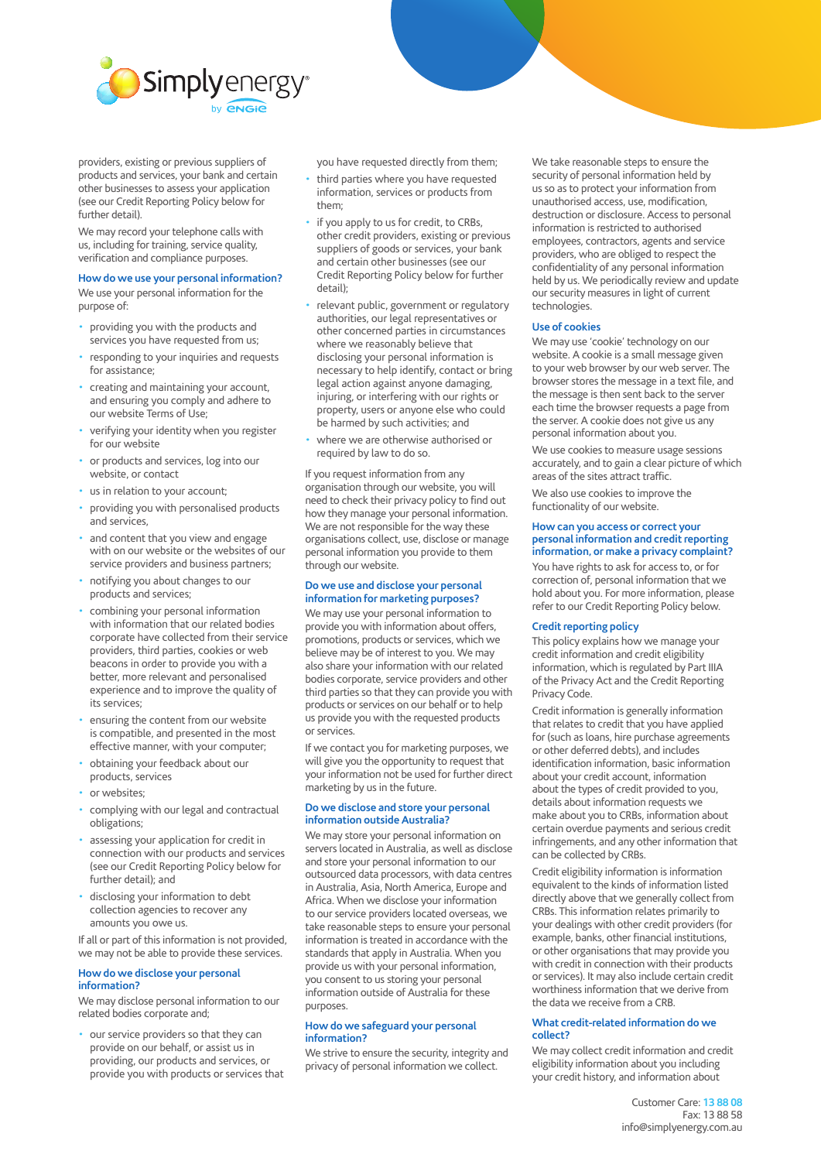

providers, existing or previous suppliers of products and services, your bank and certain other businesses to assess your application (see our Credit Reporting Policy below for further detail).

We may record your telephone calls with us, including for training, service quality, verification and compliance purposes.

## **How do we use your personal information?**

We use your personal information for the purpose of:

- providing you with the products and services you have requested from us;
- responding to your inquiries and requests for assistance;
- creating and maintaining your account, and ensuring you comply and adhere to our website Terms of Use;
- verifying your identity when you register for our website
- or products and services, log into our website, or contact
- us in relation to your account;
- providing you with personalised products and services,
- and content that you view and engage with on our website or the websites of our service providers and business partners;
- notifying you about changes to our products and services;
- combining your personal information with information that our related bodies corporate have collected from their service providers, third parties, cookies or web beacons in order to provide you with a better, more relevant and personalised experience and to improve the quality of its services;
- ensuring the content from our website is compatible, and presented in the most effective manner, with your computer;
- obtaining your feedback about our products, services
- or websites:
- complying with our legal and contractual obligations;
- assessing your application for credit in connection with our products and services (see our Credit Reporting Policy below for further detail); and
- disclosing your information to debt collection agencies to recover any amounts you owe us.

If all or part of this information is not provided, we may not be able to provide these services.

## **How do we disclose your personal information?**

We may disclose personal information to our related bodies corporate and;

• our service providers so that they can provide on our behalf, or assist us in providing, our products and services, or provide you with products or services that you have requested directly from them;

- third parties where you have requested information, services or products from them;
- if you apply to us for credit, to CRBs, other credit providers, existing or previous suppliers of goods or services, your bank and certain other businesses (see our Credit Reporting Policy below for further detail);
- relevant public, government or regulatory authorities, our legal representatives or other concerned parties in circumstances where we reasonably believe that disclosing your personal information is necessary to help identify, contact or bring legal action against anyone damaging, injuring, or interfering with our rights or property, users or anyone else who could be harmed by such activities; and
- where we are otherwise authorised or required by law to do so.

If you request information from any organisation through our website, you will need to check their privacy policy to find out how they manage your personal information. We are not responsible for the way these organisations collect, use, disclose or manage personal information you provide to them through our website.

#### **Do we use and disclose your personal information for marketing purposes?**

We may use your personal information to provide you with information about offers, promotions, products or services, which we believe may be of interest to you. We may also share your information with our related bodies corporate, service providers and other third parties so that they can provide you with products or services on our behalf or to help us provide you with the requested products or services.

If we contact you for marketing purposes, we will give you the opportunity to request that your information not be used for further direct marketing by us in the future.

#### **Do we disclose and store your personal information outside Australia?**

We may store your personal information on servers located in Australia, as well as disclose and store your personal information to our outsourced data processors, with data centres in Australia, Asia, North America, Europe and Africa. When we disclose your information to our service providers located overseas, we take reasonable steps to ensure your personal information is treated in accordance with the standards that apply in Australia. When you provide us with your personal information, you consent to us storing your personal information outside of Australia for these purposes.

#### **How do we safeguard your personal information?**

We strive to ensure the security, integrity and privacy of personal information we collect.

We take reasonable steps to ensure the security of personal information held by us so as to protect your information from unauthorised access, use, modification, destruction or disclosure. Access to personal information is restricted to authorised employees, contractors, agents and service providers, who are obliged to respect the confidentiality of any personal information held by us. We periodically review and update our security measures in light of current technologies.

## **Use of cookies**

We may use 'cookie' technology on our website. A cookie is a small message given to your web browser by our web server. The browser stores the message in a text file, and the message is then sent back to the server each time the browser requests a page from the server. A cookie does not give us any personal information about you.

We use cookies to measure usage sessions accurately, and to gain a clear picture of which areas of the sites attract traffic.

We also use cookies to improve the functionality of our website.

#### **How can you access or correct your personal information and credit reporting information, or make a privacy complaint?**

You have rights to ask for access to, or for correction of, personal information that we hold about you. For more information, please refer to our Credit Reporting Policy below.

#### **Credit reporting policy**

This policy explains how we manage your credit information and credit eligibility information, which is regulated by Part IIIA of the Privacy Act and the Credit Reporting Privacy Code.

Credit information is generally information that relates to credit that you have applied for (such as loans, hire purchase agreements or other deferred debts), and includes identification information, basic information about your credit account, information about the types of credit provided to you, details about information requests we make about you to CRBs, information about certain overdue payments and serious credit infringements, and any other information that can be collected by CRBs.

Credit eligibility information is information equivalent to the kinds of information listed directly above that we generally collect from CRBs. This information relates primarily to your dealings with other credit providers (for example, banks, other financial institutions, or other organisations that may provide you with credit in connection with their products or services). It may also include certain credit worthiness information that we derive from the data we receive from a CRB.

#### **What credit-related information do we collect?**

We may collect credit information and credit eligibility information about you including your credit history, and information about